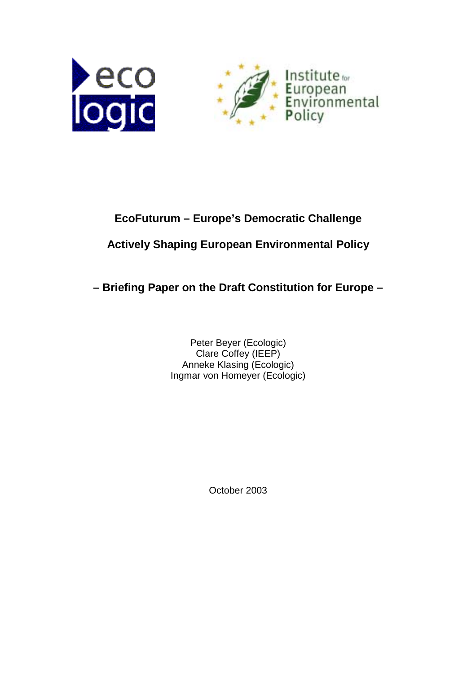



# **EcoFuturum – Europe's Democratic Challenge**

# **Actively Shaping European Environmental Policy**

**– Briefing Paper on the Draft Constitution for Europe –**

Peter Beyer (Ecologic) Clare Coffey (IEEP) Anneke Klasing (Ecologic) Ingmar von Homeyer (Ecologic)

October 2003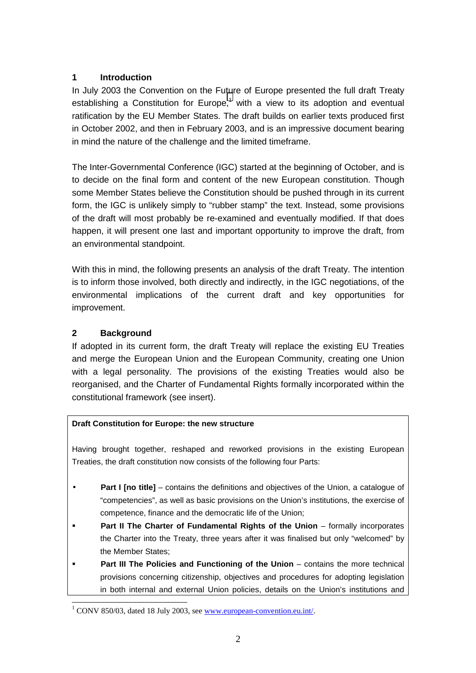## **1 Introduction**

In July 2003 the Convention on the Future of Europe presented the full draft Treaty establishing a Constitution for Europe,<sup>1</sup> with a view to its adoption and eventual ratification by the EU Member States. The draft builds on earlier texts produced first in October 2002, and then in February 2003, and is an impressive document bearing in mind the nature of the challenge and the limited timeframe.

The Inter-Governmental Conference (IGC) started at the beginning of October, and is to decide on the final form and content of the new European constitution. Though some Member States believe the Constitution should be pushed through in its current form, the IGC is unlikely simply to "rubber stamp" the text. Instead, some provisions of the draft will most probably be re-examined and eventually modified. If that does happen, it will present one last and important opportunity to improve the draft, from an environmental standpoint.

With this in mind, the following presents an analysis of the draft Treaty. The intention is to inform those involved, both directly and indirectly, in the IGC negotiations, of the environmental implications of the current draft and key opportunities for improvement.

# **2 Background**

 $\overline{\phantom{a}}$ 

If adopted in its current form, the draft Treaty will replace the existing EU Treaties and merge the European Union and the European Community, creating one Union with a legal personality. The provisions of the existing Treaties would also be reorganised, and the Charter of Fundamental Rights formally incorporated within the constitutional framework (see insert).

# **Draft Constitution for Europe: the new structure**

Having brought together, reshaped and reworked provisions in the existing European Treaties, the draft constitution now consists of the following four Parts:

- **Part I [no title]** contains the definitions and objectives of the Union, a catalogue of "competencies", as well as basic provisions on the Union's institutions, the exercise of competence, finance and the democratic life of the Union;
- ! **Part II The Charter of Fundamental Rights of the Union** formally incorporates the Charter into the Treaty, three years after it was finalised but only "welcomed" by the Member States;
- ! **Part III The Policies and Functioning of the Union** contains the more technical provisions concerning citizenship, objectives and procedures for adopting legislation in both internal and external Union policies, details on the Union's institutions and

<sup>&</sup>lt;sup>1</sup> CONV 850/03, dated 18 July 2003, see www.european-convention.eu.int/.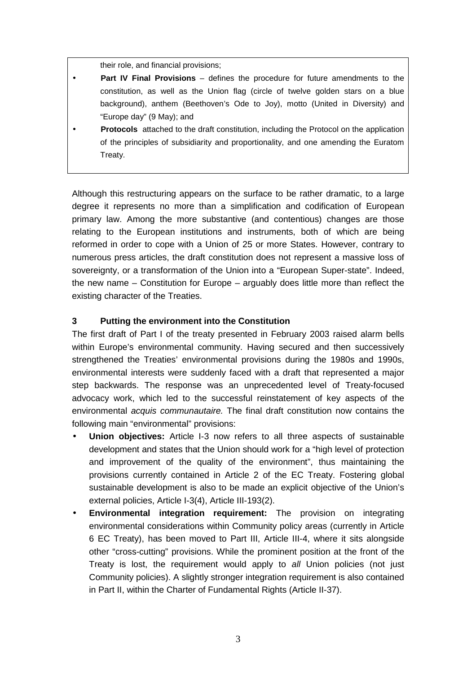their role, and financial provisions;

- **Part IV Final Provisions** defines the procedure for future amendments to the constitution, as well as the Union flag (circle of twelve golden stars on a blue background), anthem (Beethoven's Ode to Joy), motto (United in Diversity) and "Europe day" (9 May); and
- **Protocols** attached to the draft constitution, including the Protocol on the application of the principles of subsidiarity and proportionality, and one amending the Euratom Treaty.

Although this restructuring appears on the surface to be rather dramatic, to a large degree it represents no more than a simplification and codification of European primary law. Among the more substantive (and contentious) changes are those relating to the European institutions and instruments, both of which are being reformed in order to cope with a Union of 25 or more States. However, contrary to numerous press articles, the draft constitution does not represent a massive loss of sovereignty, or a transformation of the Union into a "European Super-state". Indeed, the new name – Constitution for Europe – arguably does little more than reflect the existing character of the Treaties.

#### **3 Putting the environment into the Constitution**

The first draft of Part I of the treaty presented in February 2003 raised alarm bells within Europe's environmental community. Having secured and then successively strengthened the Treaties' environmental provisions during the 1980s and 1990s, environmental interests were suddenly faced with a draft that represented a major step backwards. The response was an unprecedented level of Treaty-focused advocacy work, which led to the successful reinstatement of key aspects of the environmental *acquis communautaire.* The final draft constitution now contains the following main "environmental" provisions:

- **Union objectives:** Article I-3 now refers to all three aspects of sustainable development and states that the Union should work for a "high level of protection and improvement of the quality of the environment", thus maintaining the provisions currently contained in Article 2 of the EC Treaty. Fostering global sustainable development is also to be made an explicit objective of the Union's external policies, Article I-3(4), Article III-193(2).
- **Environmental integration requirement:** The provision on integrating environmental considerations within Community policy areas (currently in Article 6 EC Treaty), has been moved to Part III, Article III-4, where it sits alongside other "cross-cutting" provisions. While the prominent position at the front of the Treaty is lost, the requirement would apply to *all* Union policies (not just Community policies). A slightly stronger integration requirement is also contained in Part II, within the Charter of Fundamental Rights (Article II-37).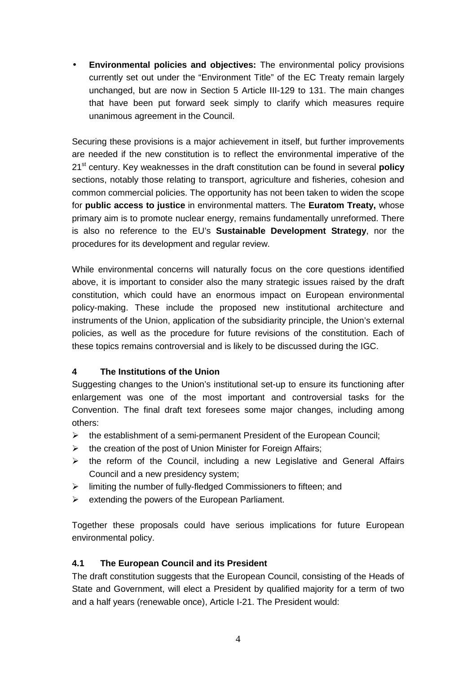• **Environmental policies and objectives:** The environmental policy provisions currently set out under the "Environment Title" of the EC Treaty remain largely unchanged, but are now in Section 5 Article III-129 to 131. The main changes that have been put forward seek simply to clarify which measures require unanimous agreement in the Council.

Securing these provisions is a major achievement in itself, but further improvements are needed if the new constitution is to reflect the environmental imperative of the 21st century. Key weaknesses in the draft constitution can be found in several **policy** sections, notably those relating to transport, agriculture and fisheries, cohesion and common commercial policies. The opportunity has not been taken to widen the scope for **public access to justice** in environmental matters. The **Euratom Treaty,** whose primary aim is to promote nuclear energy, remains fundamentally unreformed. There is also no reference to the EU's **Sustainable Development Strategy**, nor the procedures for its development and regular review.

While environmental concerns will naturally focus on the core questions identified above, it is important to consider also the many strategic issues raised by the draft constitution, which could have an enormous impact on European environmental policy-making. These include the proposed new institutional architecture and instruments of the Union, application of the subsidiarity principle, the Union's external policies, as well as the procedure for future revisions of the constitution. Each of these topics remains controversial and is likely to be discussed during the IGC.

#### **4 The Institutions of the Union**

Suggesting changes to the Union's institutional set-up to ensure its functioning after enlargement was one of the most important and controversial tasks for the Convention. The final draft text foresees some major changes, including among others:

- $\triangleright$  the establishment of a semi-permanent President of the European Council;
- $\triangleright$  the creation of the post of Union Minister for Foreign Affairs;
- $\triangleright$  the reform of the Council, including a new Legislative and General Affairs Council and a new presidency system;
- $\triangleright$  limiting the number of fully-fledged Commissioners to fifteen; and
- $\triangleright$  extending the powers of the European Parliament.

Together these proposals could have serious implications for future European environmental policy.

#### **4.1 The European Council and its President**

The draft constitution suggests that the European Council, consisting of the Heads of State and Government, will elect a President by qualified majority for a term of two and a half years (renewable once), Article I-21. The President would: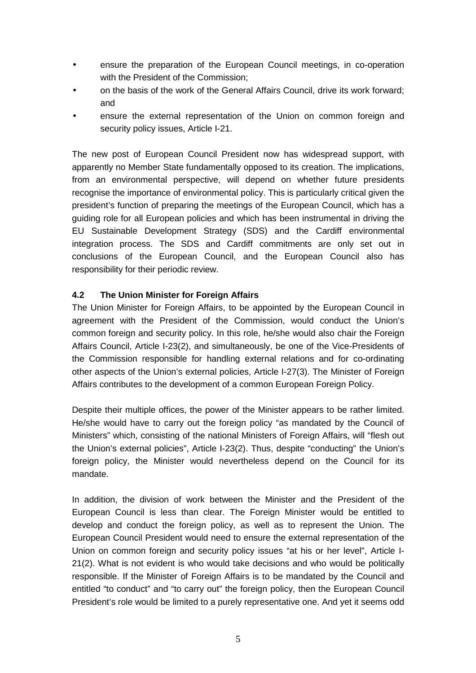- ensure the preparation of the European Council meetings, in co-operation with the President of the Commission;
- on the basis of the work of the General Affairs Council, drive its work forward; and
- ensure the external representation of the Union on common foreign and security policy issues, Article I-21.

The new post of European Council President now has widespread support, with apparently no Member State fundamentally opposed to its creation. The implications, from an environmental perspective, will depend on whether future presidents recognise the importance of environmental policy. This is particularly critical given the president's function of preparing the meetings of the European Council, which has a guiding role for all European policies and which has been instrumental in driving the EU Sustainable Development Strategy (SDS) and the Cardiff environmental integration process. The SDS and Cardiff commitments are only set out in conclusions of the European Council, and the European Council also has responsibility for their periodic review.

## **4.2 The Union Minister for Foreign Affairs**

The Union Minister for Foreign Affairs, to be appointed by the European Council in agreement with the President of the Commission, would conduct the Union's common foreign and security policy. In this role, he/she would also chair the Foreign Affairs Council, Article I-23(2), and simultaneously, be one of the Vice-Presidents of the Commission responsible for handling external relations and for co-ordinating other aspects of the Union's external policies, Article I-27(3). The Minister of Foreign Affairs contributes to the development of a common European Foreign Policy.

Despite their multiple offices, the power of the Minister appears to be rather limited. He/she would have to carry out the foreign policy "as mandated by the Council of Ministers" which, consisting of the national Ministers of Foreign Affairs, will "flesh out the Union's external policies", Article I-23(2). Thus, despite "conducting" the Union's foreign policy, the Minister would nevertheless depend on the Council for its mandate.

In addition, the division of work between the Minister and the President of the European Council is less than clear. The Foreign Minister would be entitled to develop and conduct the foreign policy, as well as to represent the Union. The European Council President would need to ensure the external representation of the Union on common foreign and security policy issues "at his or her level", Article I-21(2). What is not evident is who would take decisions and who would be politically responsible. If the Minister of Foreign Affairs is to be mandated by the Council and entitled "to conduct" and "to carry out" the foreign policy, then the European Council President's role would be limited to a purely representative one. And yet it seems odd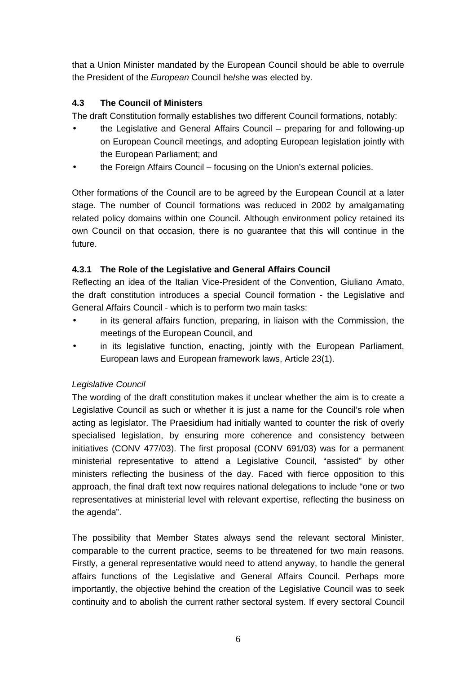that a Union Minister mandated by the European Council should be able to overrule the President of the *European* Council he/she was elected by.

# **4.3 The Council of Ministers**

The draft Constitution formally establishes two different Council formations, notably:

- the Legislative and General Affairs Council preparing for and following-up on European Council meetings, and adopting European legislation jointly with the European Parliament; and
- the Foreign Affairs Council focusing on the Union's external policies.

Other formations of the Council are to be agreed by the European Council at a later stage. The number of Council formations was reduced in 2002 by amalgamating related policy domains within one Council. Although environment policy retained its own Council on that occasion, there is no guarantee that this will continue in the future.

# **4.3.1 The Role of the Legislative and General Affairs Council**

Reflecting an idea of the Italian Vice-President of the Convention, Giuliano Amato, the draft constitution introduces a special Council formation - the Legislative and General Affairs Council - which is to perform two main tasks:

- in its general affairs function, preparing, in liaison with the Commission, the meetings of the European Council, and
- in its legislative function, enacting, jointly with the European Parliament, European laws and European framework laws, Article 23(1).

# *Legislative Council*

The wording of the draft constitution makes it unclear whether the aim is to create a Legislative Council as such or whether it is just a name for the Council's role when acting as legislator. The Praesidium had initially wanted to counter the risk of overly specialised legislation, by ensuring more coherence and consistency between initiatives (CONV 477/03). The first proposal (CONV 691/03) was for a permanent ministerial representative to attend a Legislative Council, "assisted" by other ministers reflecting the business of the day. Faced with fierce opposition to this approach, the final draft text now requires national delegations to include "one or two representatives at ministerial level with relevant expertise, reflecting the business on the agenda".

The possibility that Member States always send the relevant sectoral Minister, comparable to the current practice, seems to be threatened for two main reasons. Firstly, a general representative would need to attend anyway, to handle the general affairs functions of the Legislative and General Affairs Council. Perhaps more importantly, the objective behind the creation of the Legislative Council was to seek continuity and to abolish the current rather sectoral system. If every sectoral Council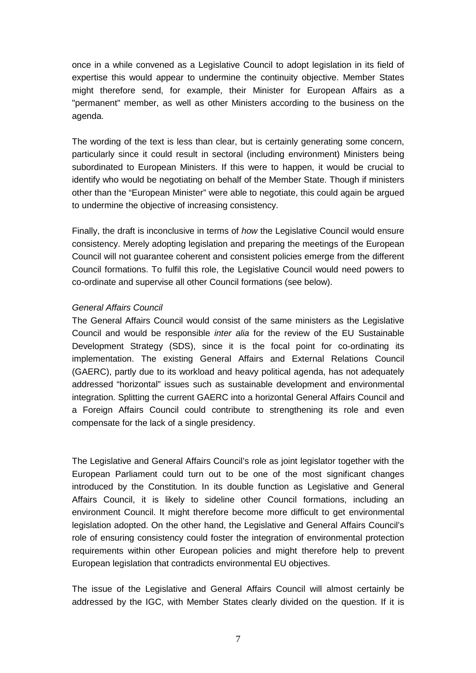once in a while convened as a Legislative Council to adopt legislation in its field of expertise this would appear to undermine the continuity objective. Member States might therefore send, for example, their Minister for European Affairs as a "permanent" member, as well as other Ministers according to the business on the agenda.

The wording of the text is less than clear, but is certainly generating some concern, particularly since it could result in sectoral (including environment) Ministers being subordinated to European Ministers. If this were to happen, it would be crucial to identify who would be negotiating on behalf of the Member State. Though if ministers other than the "European Minister" were able to negotiate, this could again be argued to undermine the objective of increasing consistency.

Finally, the draft is inconclusive in terms of *how* the Legislative Council would ensure consistency. Merely adopting legislation and preparing the meetings of the European Council will not guarantee coherent and consistent policies emerge from the different Council formations. To fulfil this role, the Legislative Council would need powers to co-ordinate and supervise all other Council formations (see below).

#### *General Affairs Council*

The General Affairs Council would consist of the same ministers as the Legislative Council and would be responsible *inter alia* for the review of the EU Sustainable Development Strategy (SDS), since it is the focal point for co-ordinating its implementation. The existing General Affairs and External Relations Council (GAERC), partly due to its workload and heavy political agenda, has not adequately addressed "horizontal" issues such as sustainable development and environmental integration. Splitting the current GAERC into a horizontal General Affairs Council and a Foreign Affairs Council could contribute to strengthening its role and even compensate for the lack of a single presidency.

The Legislative and General Affairs Council's role as joint legislator together with the European Parliament could turn out to be one of the most significant changes introduced by the Constitution. In its double function as Legislative and General Affairs Council, it is likely to sideline other Council formations, including an environment Council. It might therefore become more difficult to get environmental legislation adopted. On the other hand, the Legislative and General Affairs Council's role of ensuring consistency could foster the integration of environmental protection requirements within other European policies and might therefore help to prevent European legislation that contradicts environmental EU objectives.

The issue of the Legislative and General Affairs Council will almost certainly be addressed by the IGC, with Member States clearly divided on the question. If it is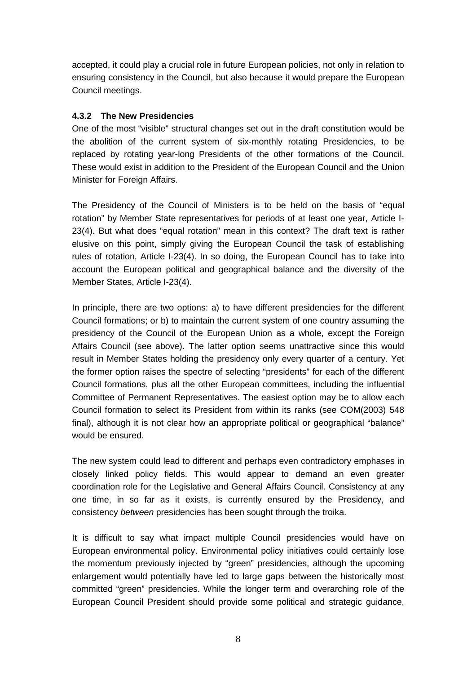accepted, it could play a crucial role in future European policies, not only in relation to ensuring consistency in the Council, but also because it would prepare the European Council meetings.

### **4.3.2 The New Presidencies**

One of the most "visible" structural changes set out in the draft constitution would be the abolition of the current system of six-monthly rotating Presidencies, to be replaced by rotating year-long Presidents of the other formations of the Council. These would exist in addition to the President of the European Council and the Union Minister for Foreign Affairs.

The Presidency of the Council of Ministers is to be held on the basis of "equal rotation" by Member State representatives for periods of at least one year, Article I-23(4). But what does "equal rotation" mean in this context? The draft text is rather elusive on this point, simply giving the European Council the task of establishing rules of rotation, Article I-23(4). In so doing, the European Council has to take into account the European political and geographical balance and the diversity of the Member States, Article I-23(4).

In principle, there are two options: a) to have different presidencies for the different Council formations; or b) to maintain the current system of one country assuming the presidency of the Council of the European Union as a whole, except the Foreign Affairs Council (see above). The latter option seems unattractive since this would result in Member States holding the presidency only every quarter of a century. Yet the former option raises the spectre of selecting "presidents" for each of the different Council formations, plus all the other European committees, including the influential Committee of Permanent Representatives. The easiest option may be to allow each Council formation to select its President from within its ranks (see COM(2003) 548 final), although it is not clear how an appropriate political or geographical "balance" would be ensured.

The new system could lead to different and perhaps even contradictory emphases in closely linked policy fields. This would appear to demand an even greater coordination role for the Legislative and General Affairs Council. Consistency at any one time, in so far as it exists, is currently ensured by the Presidency, and consistency *between* presidencies has been sought through the troika.

It is difficult to say what impact multiple Council presidencies would have on European environmental policy. Environmental policy initiatives could certainly lose the momentum previously injected by "green" presidencies, although the upcoming enlargement would potentially have led to large gaps between the historically most committed "green" presidencies. While the longer term and overarching role of the European Council President should provide some political and strategic guidance,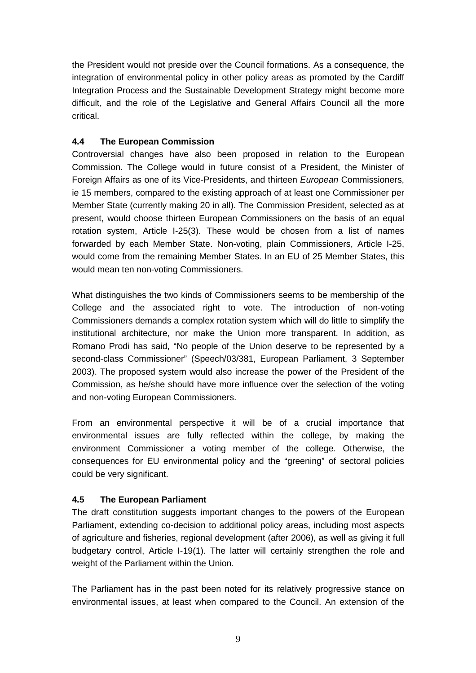the President would not preside over the Council formations. As a consequence, the integration of environmental policy in other policy areas as promoted by the Cardiff Integration Process and the Sustainable Development Strategy might become more difficult, and the role of the Legislative and General Affairs Council all the more critical.

## **4.4 The European Commission**

Controversial changes have also been proposed in relation to the European Commission. The College would in future consist of a President, the Minister of Foreign Affairs as one of its Vice-Presidents, and thirteen *European* Commissioners, ie 15 members, compared to the existing approach of at least one Commissioner per Member State (currently making 20 in all). The Commission President, selected as at present, would choose thirteen European Commissioners on the basis of an equal rotation system, Article I-25(3). These would be chosen from a list of names forwarded by each Member State. Non-voting, plain Commissioners, Article I-25, would come from the remaining Member States. In an EU of 25 Member States, this would mean ten non-voting Commissioners.

What distinguishes the two kinds of Commissioners seems to be membership of the College and the associated right to vote. The introduction of non-voting Commissioners demands a complex rotation system which will do little to simplify the institutional architecture, nor make the Union more transparent. In addition, as Romano Prodi has said, "No people of the Union deserve to be represented by a second-class Commissioner" (Speech/03/381, European Parliament, 3 September 2003). The proposed system would also increase the power of the President of the Commission, as he/she should have more influence over the selection of the voting and non-voting European Commissioners.

From an environmental perspective it will be of a crucial importance that environmental issues are fully reflected within the college, by making the environment Commissioner a voting member of the college. Otherwise, the consequences for EU environmental policy and the "greening" of sectoral policies could be very significant.

# **4.5 The European Parliament**

The draft constitution suggests important changes to the powers of the European Parliament, extending co-decision to additional policy areas, including most aspects of agriculture and fisheries, regional development (after 2006), as well as giving it full budgetary control, Article I-19(1). The latter will certainly strengthen the role and weight of the Parliament within the Union.

The Parliament has in the past been noted for its relatively progressive stance on environmental issues, at least when compared to the Council. An extension of the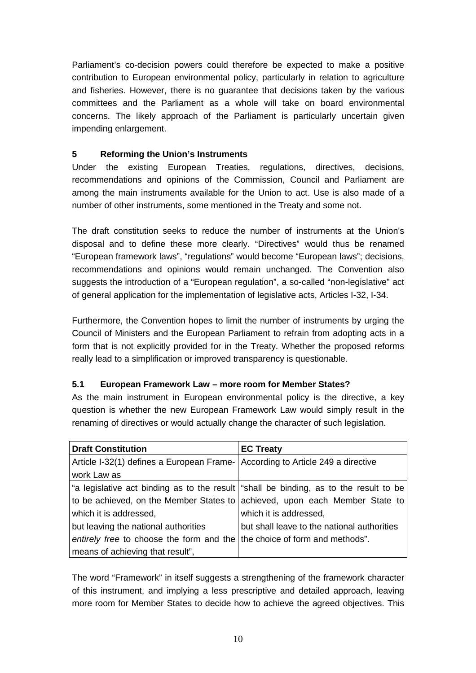Parliament's co-decision powers could therefore be expected to make a positive contribution to European environmental policy, particularly in relation to agriculture and fisheries. However, there is no guarantee that decisions taken by the various committees and the Parliament as a whole will take on board environmental concerns. The likely approach of the Parliament is particularly uncertain given impending enlargement.

### **5 Reforming the Union's Instruments**

Under the existing European Treaties, regulations, directives, decisions, recommendations and opinions of the Commission, Council and Parliament are among the main instruments available for the Union to act. Use is also made of a number of other instruments, some mentioned in the Treaty and some not.

The draft constitution seeks to reduce the number of instruments at the Union's disposal and to define these more clearly. "Directives" would thus be renamed "European framework laws", "regulations" would become "European laws"; decisions, recommendations and opinions would remain unchanged. The Convention also suggests the introduction of a "European regulation", a so-called "non-legislative" act of general application for the implementation of legislative acts, Articles I-32, I-34.

Furthermore, the Convention hopes to limit the number of instruments by urging the Council of Ministers and the European Parliament to refrain from adopting acts in a form that is not explicitly provided for in the Treaty. Whether the proposed reforms really lead to a simplification or improved transparency is questionable.

#### **5.1 European Framework Law – more room for Member States?**

As the main instrument in European environmental policy is the directive, a key question is whether the new European Framework Law would simply result in the renaming of directives or would actually change the character of such legislation.

| <b>Draft Constitution</b>                                                      | <b>EC Treaty</b>                                                                      |
|--------------------------------------------------------------------------------|---------------------------------------------------------------------------------------|
| Article I-32(1) defines a European Frame- According to Article 249 a directive |                                                                                       |
| work Law as                                                                    |                                                                                       |
|                                                                                | "a legislative act binding as to the result "shall be binding, as to the result to be |
|                                                                                | to be achieved, on the Member States to achieved, upon each Member State to           |
| which it is addressed,                                                         | which it is addressed,                                                                |
| but leaving the national authorities                                           | but shall leave to the national authorities                                           |
| entirely free to choose the form and the the choice of form and methods".      |                                                                                       |
| means of achieving that result",                                               |                                                                                       |

The word "Framework" in itself suggests a strengthening of the framework character of this instrument, and implying a less prescriptive and detailed approach, leaving more room for Member States to decide how to achieve the agreed objectives. This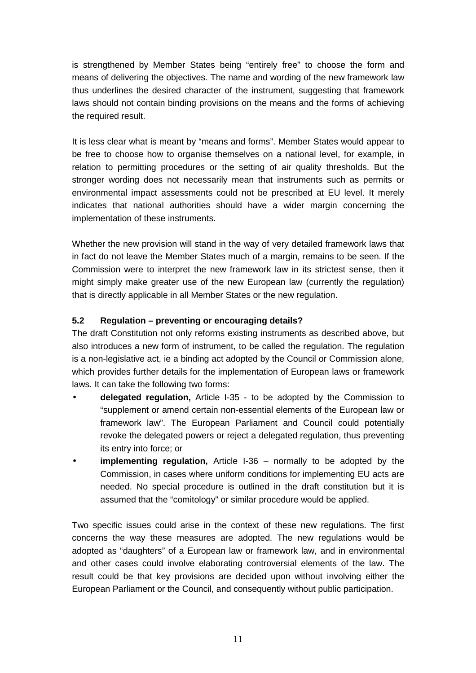is strengthened by Member States being "entirely free" to choose the form and means of delivering the objectives. The name and wording of the new framework law thus underlines the desired character of the instrument, suggesting that framework laws should not contain binding provisions on the means and the forms of achieving the required result.

It is less clear what is meant by "means and forms". Member States would appear to be free to choose how to organise themselves on a national level, for example, in relation to permitting procedures or the setting of air quality thresholds. But the stronger wording does not necessarily mean that instruments such as permits or environmental impact assessments could not be prescribed at EU level. It merely indicates that national authorities should have a wider margin concerning the implementation of these instruments.

Whether the new provision will stand in the way of very detailed framework laws that in fact do not leave the Member States much of a margin, remains to be seen. If the Commission were to interpret the new framework law in its strictest sense, then it might simply make greater use of the new European law (currently the regulation) that is directly applicable in all Member States or the new regulation.

#### **5.2 Regulation – preventing or encouraging details?**

The draft Constitution not only reforms existing instruments as described above, but also introduces a new form of instrument, to be called the regulation. The regulation is a non-legislative act, ie a binding act adopted by the Council or Commission alone, which provides further details for the implementation of European laws or framework laws. It can take the following two forms:

- **delegated regulation,** Article I-35 to be adopted by the Commission to "supplement or amend certain non-essential elements of the European law or framework law". The European Parliament and Council could potentially revoke the delegated powers or reject a delegated regulation, thus preventing its entry into force; or
- **implementing regulation,** Article I-36 normally to be adopted by the Commission, in cases where uniform conditions for implementing EU acts are needed. No special procedure is outlined in the draft constitution but it is assumed that the "comitology" or similar procedure would be applied.

Two specific issues could arise in the context of these new regulations. The first concerns the way these measures are adopted. The new regulations would be adopted as "daughters" of a European law or framework law, and in environmental and other cases could involve elaborating controversial elements of the law. The result could be that key provisions are decided upon without involving either the European Parliament or the Council, and consequently without public participation.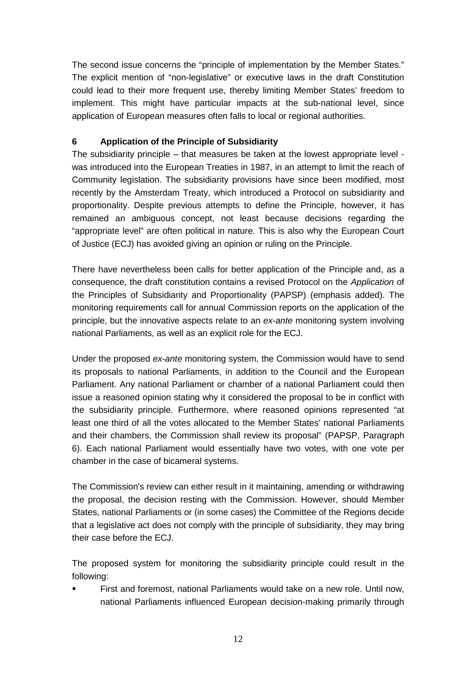The second issue concerns the "principle of implementation by the Member States." The explicit mention of "non-legislative" or executive laws in the draft Constitution could lead to their more frequent use, thereby limiting Member States' freedom to implement. This might have particular impacts at the sub-national level, since application of European measures often falls to local or regional authorities.

### **6 Application of the Principle of Subsidiarity**

The subsidiarity principle – that measures be taken at the lowest appropriate level was introduced into the European Treaties in 1987, in an attempt to limit the reach of Community legislation. The subsidiarity provisions have since been modified, most recently by the Amsterdam Treaty, which introduced a Protocol on subsidiarity and proportionality. Despite previous attempts to define the Principle, however, it has remained an ambiguous concept, not least because decisions regarding the "appropriate level" are often political in nature. This is also why the European Court of Justice (ECJ) has avoided giving an opinion or ruling on the Principle.

There have nevertheless been calls for better application of the Principle and, as a consequence, the draft constitution contains a revised Protocol on the *Application* of the Principles of Subsidiarity and Proportionality (PAPSP) (emphasis added). The monitoring requirements call for annual Commission reports on the application of the principle, but the innovative aspects relate to an *ex-ante* monitoring system involving national Parliaments, as well as an explicit role for the ECJ.

Under the proposed *ex-ante* monitoring system, the Commission would have to send its proposals to national Parliaments, in addition to the Council and the European Parliament. Any national Parliament or chamber of a national Parliament could then issue a reasoned opinion stating why it considered the proposal to be in conflict with the subsidiarity principle. Furthermore, where reasoned opinions represented "at least one third of all the votes allocated to the Member States' national Parliaments and their chambers, the Commission shall review its proposal" (PAPSP, Paragraph 6). Each national Parliament would essentially have two votes, with one vote per chamber in the case of bicameral systems.

The Commission's review can either result in it maintaining, amending or withdrawing the proposal, the decision resting with the Commission. However, should Member States, national Parliaments or (in some cases) the Committee of the Regions decide that a legislative act does not comply with the principle of subsidiarity, they may bring their case before the ECJ.

The proposed system for monitoring the subsidiarity principle could result in the following:

! First and foremost, national Parliaments would take on a new role. Until now, national Parliaments influenced European decision-making primarily through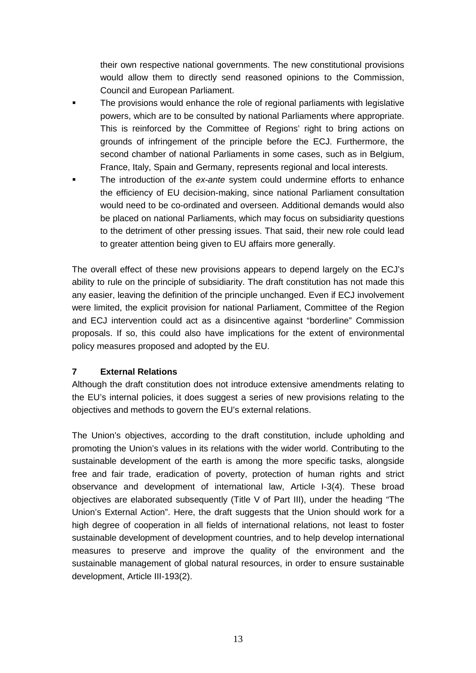their own respective national governments. The new constitutional provisions would allow them to directly send reasoned opinions to the Commission, Council and European Parliament.

- The provisions would enhance the role of regional parliaments with legislative powers, which are to be consulted by national Parliaments where appropriate. This is reinforced by the Committee of Regions' right to bring actions on grounds of infringement of the principle before the ECJ. Furthermore, the second chamber of national Parliaments in some cases, such as in Belgium, France, Italy, Spain and Germany, represents regional and local interests.
- ! The introduction of the *ex-ante* system could undermine efforts to enhance the efficiency of EU decision-making, since national Parliament consultation would need to be co-ordinated and overseen. Additional demands would also be placed on national Parliaments, which may focus on subsidiarity questions to the detriment of other pressing issues. That said, their new role could lead to greater attention being given to EU affairs more generally.

The overall effect of these new provisions appears to depend largely on the ECJ's ability to rule on the principle of subsidiarity. The draft constitution has not made this any easier, leaving the definition of the principle unchanged. Even if ECJ involvement were limited, the explicit provision for national Parliament, Committee of the Region and ECJ intervention could act as a disincentive against "borderline" Commission proposals. If so, this could also have implications for the extent of environmental policy measures proposed and adopted by the EU.

#### **7 External Relations**

Although the draft constitution does not introduce extensive amendments relating to the EU's internal policies, it does suggest a series of new provisions relating to the objectives and methods to govern the EU's external relations.

The Union's objectives, according to the draft constitution, include upholding and promoting the Union's values in its relations with the wider world. Contributing to the sustainable development of the earth is among the more specific tasks, alongside free and fair trade, eradication of poverty, protection of human rights and strict observance and development of international law, Article I-3(4). These broad objectives are elaborated subsequently (Title V of Part III), under the heading "The Union's External Action". Here, the draft suggests that the Union should work for a high degree of cooperation in all fields of international relations, not least to foster sustainable development of development countries, and to help develop international measures to preserve and improve the quality of the environment and the sustainable management of global natural resources, in order to ensure sustainable development, Article III-193(2).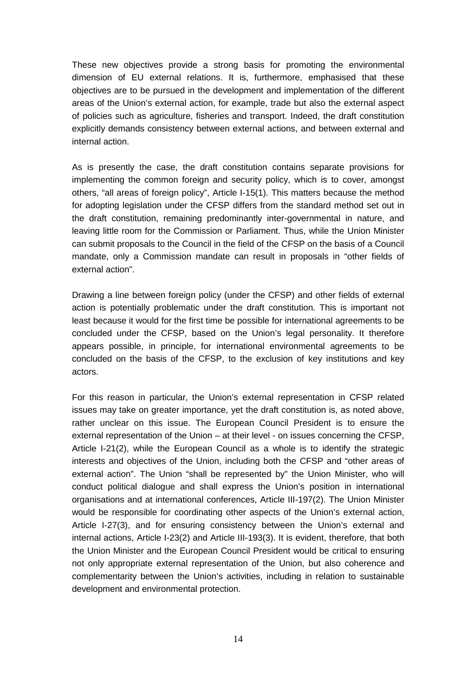These new objectives provide a strong basis for promoting the environmental dimension of EU external relations. It is, furthermore, emphasised that these objectives are to be pursued in the development and implementation of the different areas of the Union's external action, for example, trade but also the external aspect of policies such as agriculture, fisheries and transport. Indeed, the draft constitution explicitly demands consistency between external actions, and between external and internal action.

As is presently the case, the draft constitution contains separate provisions for implementing the common foreign and security policy, which is to cover, amongst others, "all areas of foreign policy", Article I-15(1). This matters because the method for adopting legislation under the CFSP differs from the standard method set out in the draft constitution, remaining predominantly inter-governmental in nature, and leaving little room for the Commission or Parliament. Thus, while the Union Minister can submit proposals to the Council in the field of the CFSP on the basis of a Council mandate, only a Commission mandate can result in proposals in "other fields of external action".

Drawing a line between foreign policy (under the CFSP) and other fields of external action is potentially problematic under the draft constitution. This is important not least because it would for the first time be possible for international agreements to be concluded under the CFSP, based on the Union's legal personality. It therefore appears possible, in principle, for international environmental agreements to be concluded on the basis of the CFSP, to the exclusion of key institutions and key actors.

For this reason in particular, the Union's external representation in CFSP related issues may take on greater importance, yet the draft constitution is, as noted above, rather unclear on this issue. The European Council President is to ensure the external representation of the Union – at their level - on issues concerning the CFSP, Article I-21(2), while the European Council as a whole is to identify the strategic interests and objectives of the Union, including both the CFSP and "other areas of external action". The Union "shall be represented by" the Union Minister, who will conduct political dialogue and shall express the Union's position in international organisations and at international conferences, Article III-197(2). The Union Minister would be responsible for coordinating other aspects of the Union's external action, Article I-27(3), and for ensuring consistency between the Union's external and internal actions, Article I-23(2) and Article III-193(3). It is evident, therefore, that both the Union Minister and the European Council President would be critical to ensuring not only appropriate external representation of the Union, but also coherence and complementarity between the Union's activities, including in relation to sustainable development and environmental protection.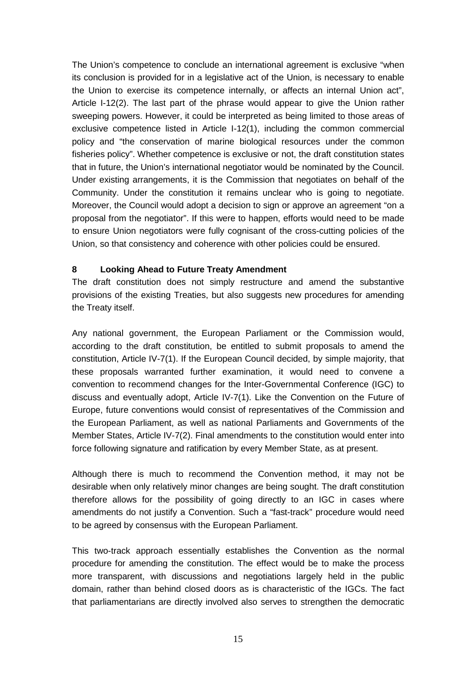The Union's competence to conclude an international agreement is exclusive "when its conclusion is provided for in a legislative act of the Union, is necessary to enable the Union to exercise its competence internally, or affects an internal Union act", Article I-12(2). The last part of the phrase would appear to give the Union rather sweeping powers. However, it could be interpreted as being limited to those areas of exclusive competence listed in Article I-12(1), including the common commercial policy and "the conservation of marine biological resources under the common fisheries policy". Whether competence is exclusive or not, the draft constitution states that in future, the Union's international negotiator would be nominated by the Council. Under existing arrangements, it is the Commission that negotiates on behalf of the Community. Under the constitution it remains unclear who is going to negotiate. Moreover, the Council would adopt a decision to sign or approve an agreement "on a proposal from the negotiator". If this were to happen, efforts would need to be made to ensure Union negotiators were fully cognisant of the cross-cutting policies of the Union, so that consistency and coherence with other policies could be ensured.

#### **8 Looking Ahead to Future Treaty Amendment**

The draft constitution does not simply restructure and amend the substantive provisions of the existing Treaties, but also suggests new procedures for amending the Treaty itself.

Any national government, the European Parliament or the Commission would, according to the draft constitution, be entitled to submit proposals to amend the constitution, Article IV-7(1). If the European Council decided, by simple majority, that these proposals warranted further examination, it would need to convene a convention to recommend changes for the Inter-Governmental Conference (IGC) to discuss and eventually adopt, Article IV-7(1). Like the Convention on the Future of Europe, future conventions would consist of representatives of the Commission and the European Parliament, as well as national Parliaments and Governments of the Member States, Article IV-7(2). Final amendments to the constitution would enter into force following signature and ratification by every Member State, as at present.

Although there is much to recommend the Convention method, it may not be desirable when only relatively minor changes are being sought. The draft constitution therefore allows for the possibility of going directly to an IGC in cases where amendments do not justify a Convention. Such a "fast-track" procedure would need to be agreed by consensus with the European Parliament.

This two-track approach essentially establishes the Convention as the normal procedure for amending the constitution. The effect would be to make the process more transparent, with discussions and negotiations largely held in the public domain, rather than behind closed doors as is characteristic of the IGCs. The fact that parliamentarians are directly involved also serves to strengthen the democratic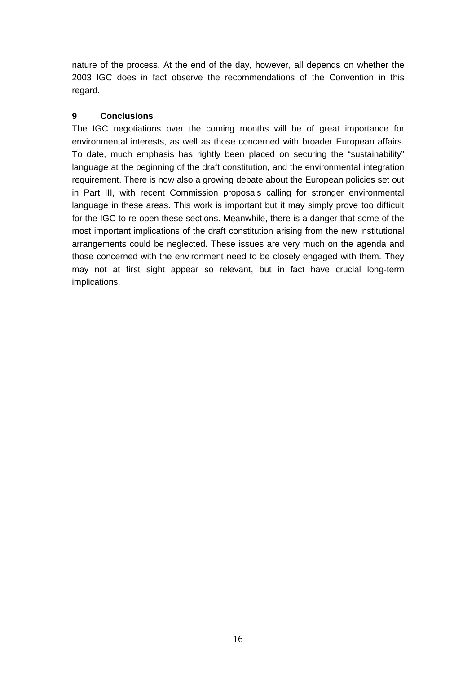nature of the process. At the end of the day, however, all depends on whether the 2003 IGC does in fact observe the recommendations of the Convention in this regard.

#### **9 Conclusions**

The IGC negotiations over the coming months will be of great importance for environmental interests, as well as those concerned with broader European affairs. To date, much emphasis has rightly been placed on securing the "sustainability" language at the beginning of the draft constitution, and the environmental integration requirement. There is now also a growing debate about the European policies set out in Part III, with recent Commission proposals calling for stronger environmental language in these areas. This work is important but it may simply prove too difficult for the IGC to re-open these sections. Meanwhile, there is a danger that some of the most important implications of the draft constitution arising from the new institutional arrangements could be neglected. These issues are very much on the agenda and those concerned with the environment need to be closely engaged with them. They may not at first sight appear so relevant, but in fact have crucial long-term implications.